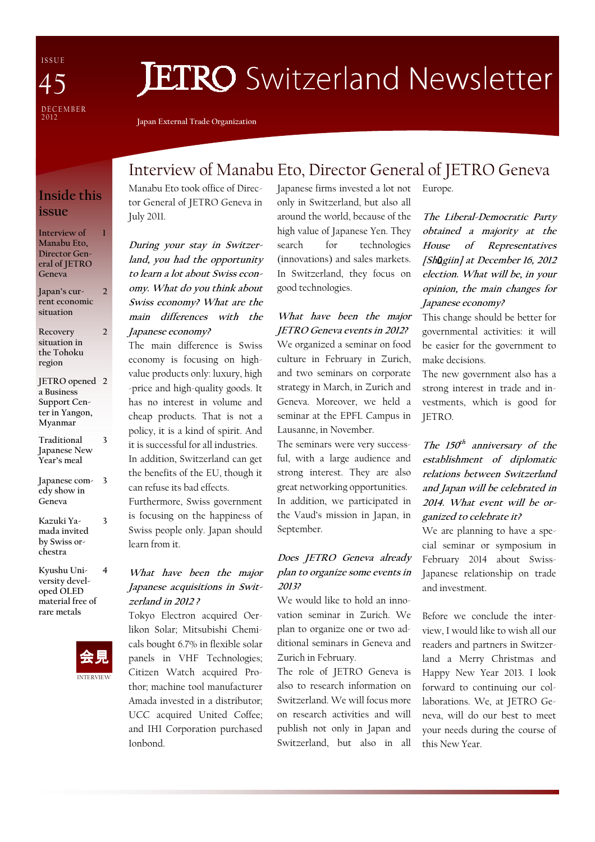I S S U E DE CEMBER<br>2012 45

# **JETRO** Switzerland Newsletter

Japan External Trade Organization

## Inside this issue

1

Interview of Manabu Eto, Director General of JETRO Geneva

Japan's current economic situation 2

- Recovery situation in the Tohoku region  $\overline{\mathcal{L}}$
- JETRO opened 2 a Business Support Center in Yangon, Myanmar
- Traditional Japanese New Year's meal

3

3

- Japanese comedy show in Geneva 3
- Kazuki Yamada invited by Swiss orchestra
- Kyushu University developed OLED material free of rare metals 4



# Interview of Manabu Eto, Director General of JETRO Geneva

Manabu Eto took office of Director General of JETRO Geneva in July 2011.

During your stay in Switzerland, you had the opportunity to learn a lot about Swiss economy. What do you think about Swiss economy? What are the main differences with the Japanese economy?

The main difference is Swiss economy is focusing on highvalue products only: luxury, high -price and high-quality goods. It has no interest in volume and cheap products. That is not a policy, it is a kind of spirit. And it is successful for all industries. In addition, Switzerland can get the benefits of the EU, though it can refuse its bad effects.

Furthermore, Swiss government is focusing on the happiness of Swiss people only. Japan should learn from it.

#### What have been the major Japanese acquisitions in Switzerland in 2012 ?

Tokyo Electron acquired Oerlikon Solar; Mitsubishi Chemicals bought 6.7% in flexible solar panels in VHF Technologies; Citizen Watch acquired Prothor; machine tool manufacturer Amada invested in a distributor; UCC acquired United Coffee; and IHI Corporation purchased Ionbond.

Japanese firms invested a lot not only in Switzerland, but also all around the world, because of the high value of Japanese Yen. They search for technologies (innovations) and sales markets. In Switzerland, they focus on good technologies.

What have been the major JETRO Geneva events in 2012? We organized a seminar on food culture in February in Zurich, and two seminars on corporate strategy in March, in Zurich and Geneva. Moreover, we held a seminar at the EPFL Campus in Lausanne, in November.

The seminars were very successful, with a large audience and strong interest. They are also great networking opportunities. In addition, we participated in the Vaud's mission in Japan, in September.

#### Does JETRO Geneva already plan to organize some events in 2013?

We would like to hold an innovation seminar in Zurich. We plan to organize one or two additional seminars in Geneva and Zurich in February.

The role of JETRO Geneva is also to research information on Switzerland. We will focus more on research activities and will publish not only in Japan and Switzerland, but also in all

Europe.

The Liberal-Democratic Party obtained <sup>a</sup> majority at the House of Representatives [Shūgiin] at December 16, 2012 election. What will be, in your opinion, the main changes for Japanese economy?

This change should be better for governmental activities: it will be easier for the government to make decisions.

The new government also has a strong interest in trade and investments, which is good for JETRO.

#### The 150<sup>th</sup> anniversary of the establishment of diplomatic relations between Switzerland and Japan will be celebrated in 2014. What event will be organized to celebrate it?

We are planning to have a special seminar or symposium in February 2014 about Swiss-Japanese relationship on trade and investment.

Before we conclude the interview, I would like to wish all our readers and partners in Switzerland a Merry Christmas and Happy New Year 2013. I look forward to continuing our collaborations. We, at JETRO Geneva, will do our best to meet your needs during the course of this New Year.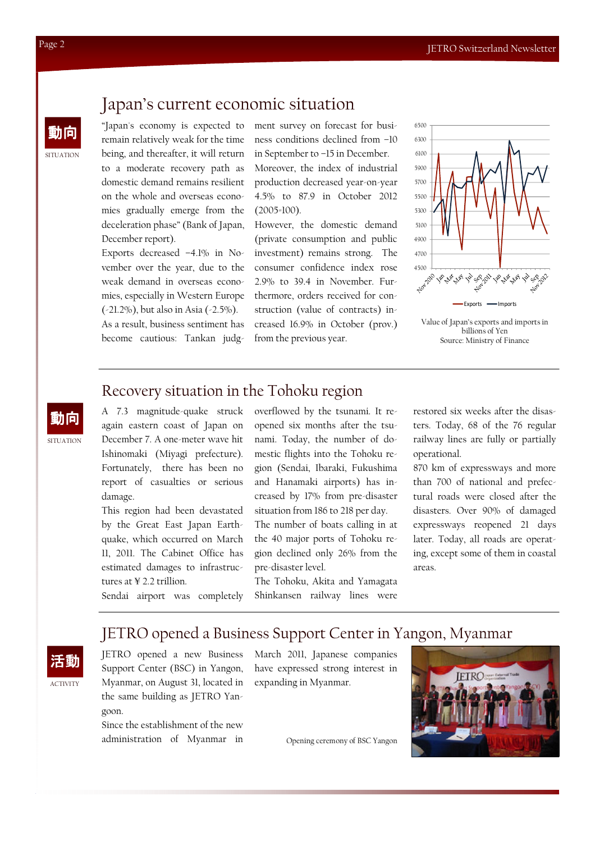## Japan's current economic situation

"Japan's economy is expected to remain relatively weak for the time being, and thereafter, it will return to a moderate recovery path as domestic demand remains resilient on the whole and overseas economies gradually emerge from the deceleration phase" (Bank of Japan, December report).

Exports decreased –4.1% in November over the year, due to the weak demand in overseas economies, especially in Western Europe (-21.2%), but also in Asia (-2.5%). As a result, business sentiment has become cautious: Tankan judgment survey on forecast for business conditions declined from –10 in September to –15 in December. Moreover, the index of industrial production decreased year-on-year 4.5% to 87.9 in October 2012 (2005=100).

However, the domestic demand (private consumption and public investment) remains strong. The consumer confidence index rose 2.9% to 39.4 in November. Furthermore, orders received for construction (value of contracts) increased 16.9% in October (prov.) from the previous year.





### Recovery situation in the Tohoku region

SITUATION

動向

A 7.3 magnitude-quake struck again eastern coast of Japan on December 7. A one-meter wave hit Ishinomaki (Miyagi prefecture). Fortunately, there has been no report of casualties or serious damage.

This region had been devastated by the Great East Japan Earthquake, which occurred on March 11, 2011. The Cabinet Office has estimated damages to infrastructures at ¥ 2.2 trillion.

Sendai airport was completely

overflowed by the tsunami. It reopened six months after the tsunami. Today, the number of domestic flights into the Tohoku region (Sendai, Ibaraki, Fukushima and Hanamaki airports) has increased by 17% from pre-disaster situation from 186 to 218 per day. The number of boats calling in at

the 40 major ports of Tohoku region declined only 26% from the pre-disaster level.

The Tohoku, Akita and Yamagata Shinkansen railway lines were restored six weeks after the disasters. Today, 68 of the 76 regular railway lines are fully or partially operational.

870 km of expressways and more than 700 of national and prefectural roads were closed after the disasters. Over 90% of damaged expressways reopened 21 days later. Today, all roads are operating, except some of them in coastal areas.

JETRO opened a Business Support Center in Yangon, Myanmar



JETRO opened a new Business Support Center (BSC) in Yangon, Myanmar, on August 31, located in the same building as JETRO Yangoon.

Since the establishment of the new administration of Myanmar in March 2011, Japanese companies have expressed strong interest in expanding in Myanmar.

Opening ceremony of BSC Yangon



SITUATION

動向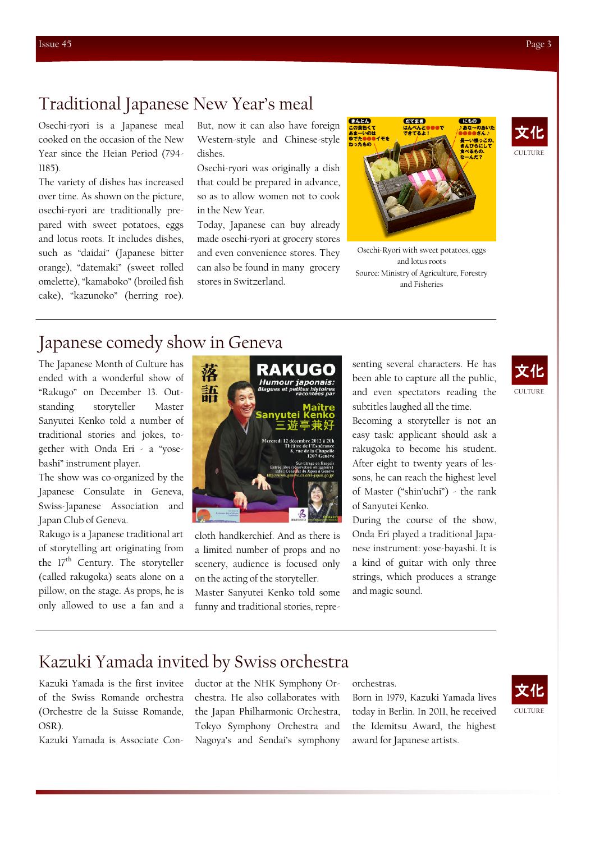Osechi-ryori is a Japanese meal cooked on the occasion of the New Year since the Heian Period (794- 1185).

The variety of dishes has increased over time. As shown on the picture, osechi-ryori are traditionally prepared with sweet potatoes, eggs and lotus roots. It includes dishes, such as "daidai" (Japanese bitter orange), "datemaki" (sweet rolled omelette), "kamaboko" (broiled fish cake), "kazunoko" (herring roe).

But, now it can also have foreign Western-style and Chinese-style dishes.

Osechi-ryori was originally a dish that could be prepared in advance, so as to allow women not to cook in the New Year.

Today, Japanese can buy already made osechi-ryori at grocery stores and even convenience stores. They can also be found in many grocery stores in Switzerland.



Osechi-Ryori with sweet potatoes, eggs and lotus roots Source: Ministry of Agriculture, Forestry and Fisheries



# Japanese comedy show in Geneva

The Japanese Month of Culture has ended with a wonderful show of "Rakugo" on December 13. Outstanding storyteller Master Sanyutei Kenko told a number of traditional stories and jokes, together with Onda Eri - a "yosebashi" instrument player.

The show was co-organized by the Japanese Consulate in Geneva, Swiss-Japanese Association and Japan Club of Geneva.

Rakugo is a Japanese traditional art of storytelling art originating from the  $17<sup>th</sup>$  Century. The storyteller (called rakugoka) seats alone on a pillow, on the stage. As props, he is only allowed to use a fan and a



cloth handkerchief. And as there is a limited number of props and no scenery, audience is focused only on the acting of the storyteller. Master Sanyutei Kenko told some funny and traditional stories, representing several characters. He has been able to capture all the public, and even spectators reading the subtitles laughed all the time.

Becoming a storyteller is not an easy task: applicant should ask a rakugoka to become his student. After eight to twenty years of lessons, he can reach the highest level of Master ("shin'uchi") - the rank of Sanyutei Kenko.

During the course of the show, Onda Eri played a traditional Japanese instrument: yose-bayashi. It is a kind of guitar with only three strings, which produces a strange and magic sound.



## Kazuki Yamada invited by Swiss orchestra

Kazuki Yamada is the first invitee of the Swiss Romande orchestra (Orchestre de la Suisse Romande, OSR).

Kazuki Yamada is Associate Con-

ductor at the NHK Symphony Orchestra. He also collaborates with the Japan Philharmonic Orchestra, Tokyo Symphony Orchestra and Nagoya's and Sendai's symphony orchestras.

Born in 1979, Kazuki Yamada lives today in Berlin. In 2011, he received the Idemitsu Award, the highest award for Japanese artists.